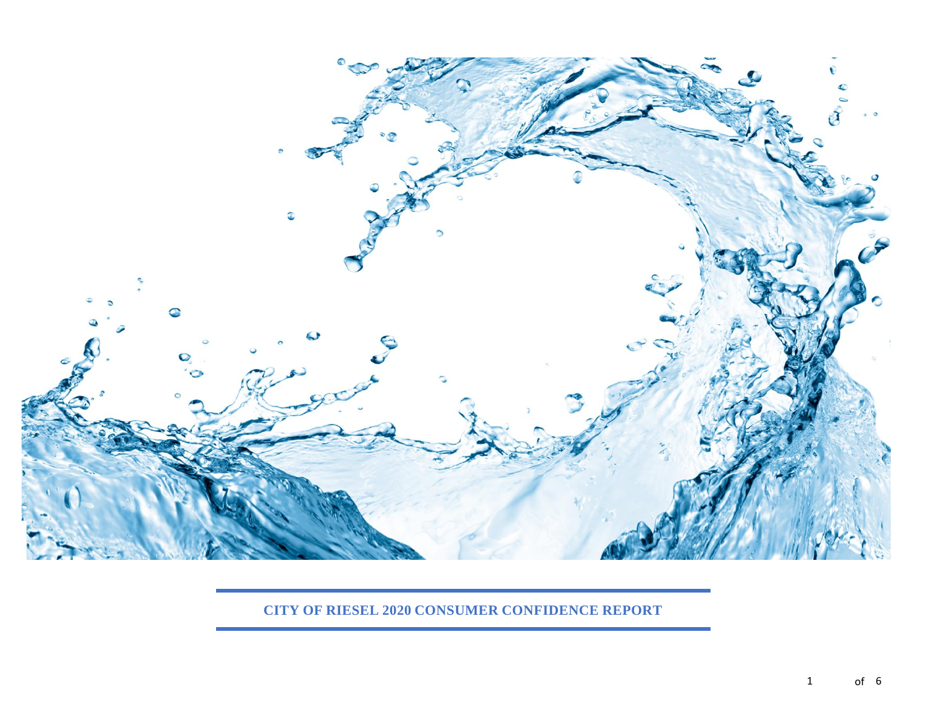

**CITY OF RIESEL 2020 CONSUMER CONFIDENCE REPORT**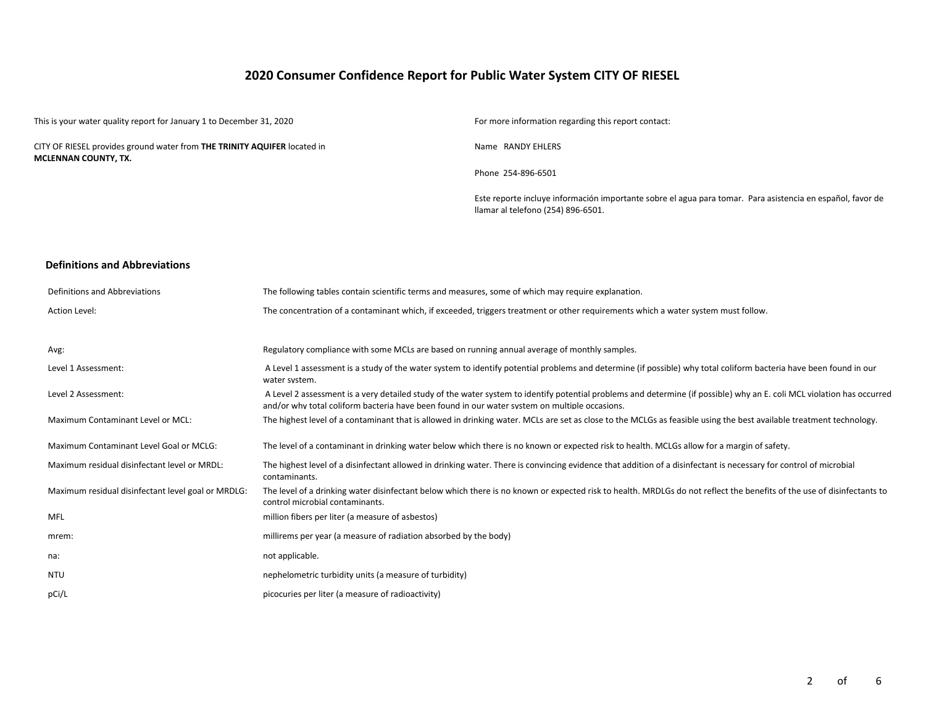# **2020 Consumer Confidence Report for Public Water System CITY OF RIESEL**

This is your water quality report for January 1 to December 31, 2020 For more information regarding this report contact:

CITY OF RIESEL provides ground water from **THE TRINITY AQUIFER** located in **MCLENNAN COUNTY, TX.**

Name RANDY EHLERS

Phone 254-896-6501

Este reporte incluye información importante sobre el agua para tomar. Para asistencia en español, favor de llamar al telefono (254) 896-6501.

#### **Definitions and Abbreviations**

| Definitions and Abbreviations                      | The following tables contain scientific terms and measures, some of which may require explanation.                                                                                                                                                                      |
|----------------------------------------------------|-------------------------------------------------------------------------------------------------------------------------------------------------------------------------------------------------------------------------------------------------------------------------|
| Action Level:                                      | The concentration of a contaminant which, if exceeded, triggers treatment or other requirements which a water system must follow.                                                                                                                                       |
|                                                    |                                                                                                                                                                                                                                                                         |
| Avg:                                               | Regulatory compliance with some MCLs are based on running annual average of monthly samples.                                                                                                                                                                            |
| Level 1 Assessment:                                | A Level 1 assessment is a study of the water system to identify potential problems and determine (if possible) why total coliform bacteria have been found in our<br>water system.                                                                                      |
| Level 2 Assessment:                                | A Level 2 assessment is a very detailed study of the water system to identify potential problems and determine (if possible) why an E. coli MCL violation has occurred<br>and/or why total coliform bacteria have been found in our water system on multiple occasions. |
| Maximum Contaminant Level or MCL:                  | The highest level of a contaminant that is allowed in drinking water. MCLs are set as close to the MCLGs as feasible using the best available treatment technology.                                                                                                     |
| Maximum Contaminant Level Goal or MCLG:            | The level of a contaminant in drinking water below which there is no known or expected risk to health. MCLGs allow for a margin of safety.                                                                                                                              |
| Maximum residual disinfectant level or MRDL:       | The highest level of a disinfectant allowed in drinking water. There is convincing evidence that addition of a disinfectant is necessary for control of microbial<br>contaminants.                                                                                      |
| Maximum residual disinfectant level goal or MRDLG: | The level of a drinking water disinfectant below which there is no known or expected risk to health. MRDLGs do not reflect the benefits of the use of disinfectants to<br>control microbial contaminants.                                                               |
| <b>MFL</b>                                         | million fibers per liter (a measure of asbestos)                                                                                                                                                                                                                        |
| mrem:                                              | millirems per year (a measure of radiation absorbed by the body)                                                                                                                                                                                                        |
| na:                                                | not applicable.                                                                                                                                                                                                                                                         |
| <b>NTU</b>                                         | nephelometric turbidity units (a measure of turbidity)                                                                                                                                                                                                                  |
| pCi/L                                              | picocuries per liter (a measure of radioactivity)                                                                                                                                                                                                                       |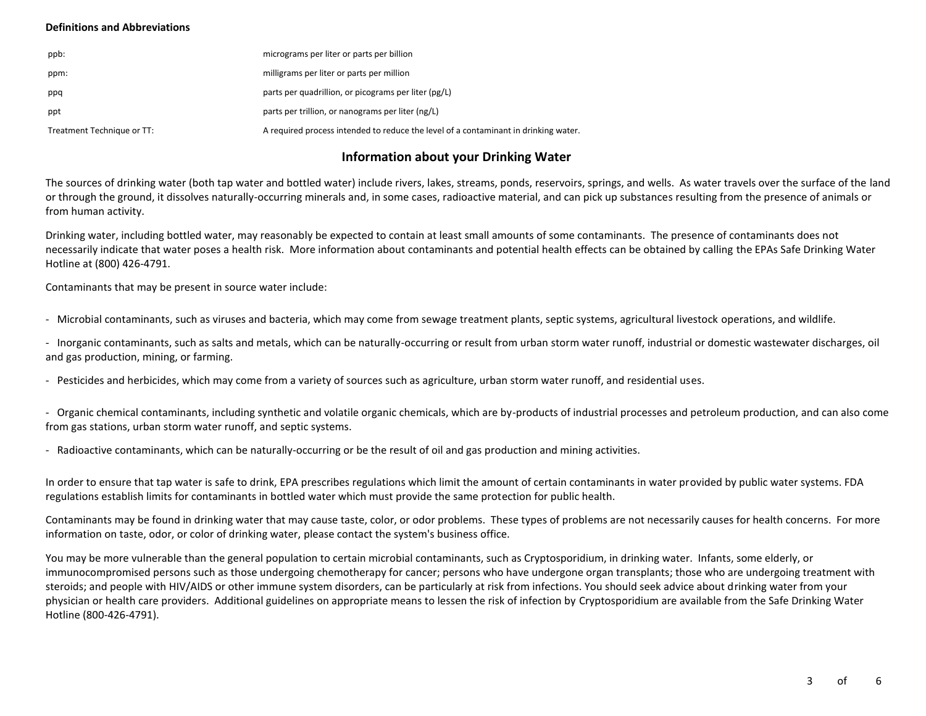#### **Definitions and Abbreviations**

| ppb:                       | micrograms per liter or parts per billion                                           |
|----------------------------|-------------------------------------------------------------------------------------|
| ppm:                       | milligrams per liter or parts per million                                           |
| ppq                        | parts per quadrillion, or picograms per liter (pg/L)                                |
| ppt                        | parts per trillion, or nanograms per liter (ng/L)                                   |
| Treatment Technique or TT: | A required process intended to reduce the level of a contaminant in drinking water. |

# **Information about your Drinking Water**

The sources of drinking water (both tap water and bottled water) include rivers, lakes, streams, ponds, reservoirs, springs, and wells. As water travels over the surface of the land or through the ground, it dissolves naturally-occurring minerals and, in some cases, radioactive material, and can pick up substances resulting from the presence of animals or from human activity.

Drinking water, including bottled water, may reasonably be expected to contain at least small amounts of some contaminants. The presence of contaminants does not necessarily indicate that water poses a health risk. More information about contaminants and potential health effects can be obtained by calling the EPAs Safe Drinking Water Hotline at (800) 426-4791.

Contaminants that may be present in source water include:

- Microbial contaminants, such as viruses and bacteria, which may come from sewage treatment plants, septic systems, agricultural livestock operations, and wildlife.

- Inorganic contaminants, such as salts and metals, which can be naturally-occurring or result from urban storm water runoff, industrial or domestic wastewater discharges, oil and gas production, mining, or farming.

- Pesticides and herbicides, which may come from a variety of sources such as agriculture, urban storm water runoff, and residential uses.

- Organic chemical contaminants, including synthetic and volatile organic chemicals, which are by-products of industrial processes and petroleum production, and can also come from gas stations, urban storm water runoff, and septic systems.

- Radioactive contaminants, which can be naturally-occurring or be the result of oil and gas production and mining activities.

In order to ensure that tap water is safe to drink, EPA prescribes regulations which limit the amount of certain contaminants in water provided by public water systems. FDA regulations establish limits for contaminants in bottled water which must provide the same protection for public health.

Contaminants may be found in drinking water that may cause taste, color, or odor problems. These types of problems are not necessarily causes for health concerns. For more information on taste, odor, or color of drinking water, please contact the system's business office.

You may be more vulnerable than the general population to certain microbial contaminants, such as Cryptosporidium, in drinking water. Infants, some elderly, or immunocompromised persons such as those undergoing chemotherapy for cancer; persons who have undergone organ transplants; those who are undergoing treatment with steroids; and people with HIV/AIDS or other immune system disorders, can be particularly at risk from infections. You should seek advice about drinking water from your physician or health care providers. Additional guidelines on appropriate means to lessen the risk of infection by Cryptosporidium are available from the Safe Drinking Water Hotline (800-426-4791).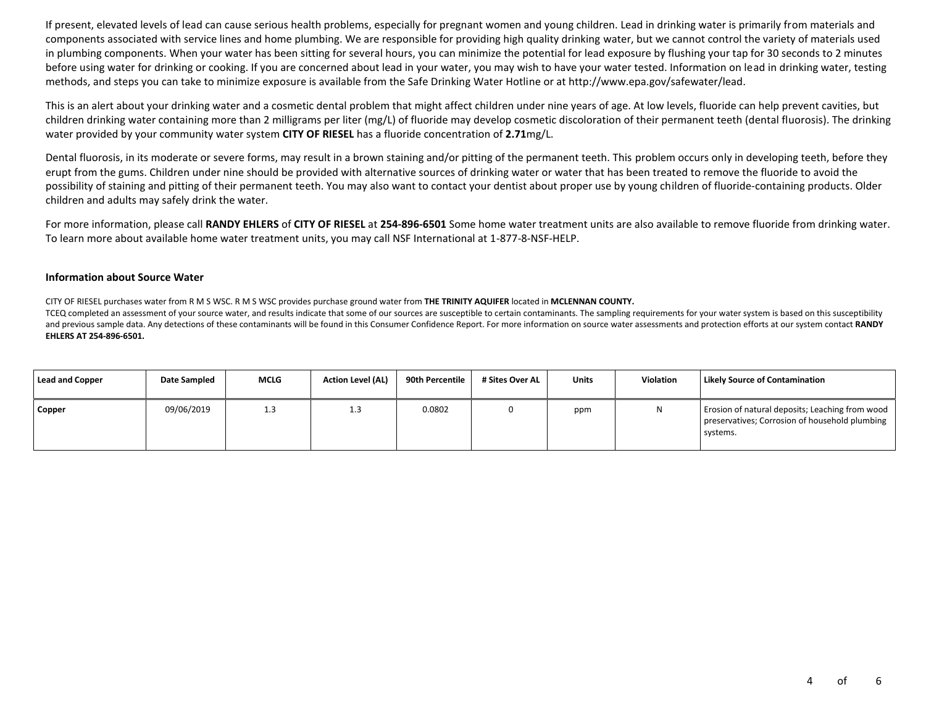If present, elevated levels of lead can cause serious health problems, especially for pregnant women and young children. Lead in drinking water is primarily from materials and components associated with service lines and home plumbing. We are responsible for providing high quality drinking water, but we cannot control the variety of materials used in plumbing components. When your water has been sitting for several hours, you can minimize the potential for lead exposure by flushing your tap for 30 seconds to 2 minutes before using water for drinking or cooking. If you are concerned about lead in your water, you may wish to have your water tested. Information on lead in drinking water, testing methods, and steps you can take to minimize exposure is available from the Safe Drinking Water Hotline or at http://www.epa.gov/safewater/lead.

This is an alert about your drinking water and a cosmetic dental problem that might affect children under nine years of age. At low levels, fluoride can help prevent cavities, but children drinking water containing more than 2 milligrams per liter (mg/L) of fluoride may develop cosmetic discoloration of their permanent teeth (dental fluorosis). The drinking water provided by your community water system **CITY OF RIESEL** has a fluoride concentration of **2.71**mg/L.

Dental fluorosis, in its moderate or severe forms, may result in a brown staining and/or pitting of the permanent teeth. This problem occurs only in developing teeth, before they erupt from the gums. Children under nine should be provided with alternative sources of drinking water or water that has been treated to remove the fluoride to avoid the possibility of staining and pitting of their permanent teeth. You may also want to contact your dentist about proper use by young children of fluoride-containing products. Older children and adults may safely drink the water.

For more information, please call **RANDY EHLERS** of **CITY OF RIESEL** at **254-896-6501** Some home water treatment units are also available to remove fluoride from drinking water. To learn more about available home water treatment units, you may call NSF International at 1-877-8-NSF-HELP.

#### **Information about Source Water**

CITY OF RIESEL purchases water from R M S WSC. R M S WSC provides purchase ground water from **THE TRINITY AQUIFER** located in **MCLENNAN COUNTY.**

TCEQ completed an assessment of your source water, and results indicate that some of our sources are susceptible to certain contaminants. The sampling requirements for your water system is based on this susceptibility and previous sample data. Any detections of these contaminants will be found in this Consumer Confidence Report. For more information on source water assessments and protection efforts at our system contact **RANDY EHLERS AT 254-896-6501.**

| <b>Lead and Copper</b> | Date Sampled | <b>MCLG</b> | <b>Action Level (AL)</b> | 90th Percentile | # Sites Over AL | <b>Units</b> | Violation | Likely Source of Contamination                                                                                |
|------------------------|--------------|-------------|--------------------------|-----------------|-----------------|--------------|-----------|---------------------------------------------------------------------------------------------------------------|
| Copper                 | 09/06/2019   | 1.3         | ر. 1                     | 0.0802          |                 | ppm          |           | Erosion of natural deposits; Leaching from wood<br>preservatives; Corrosion of household plumbing<br>systems. |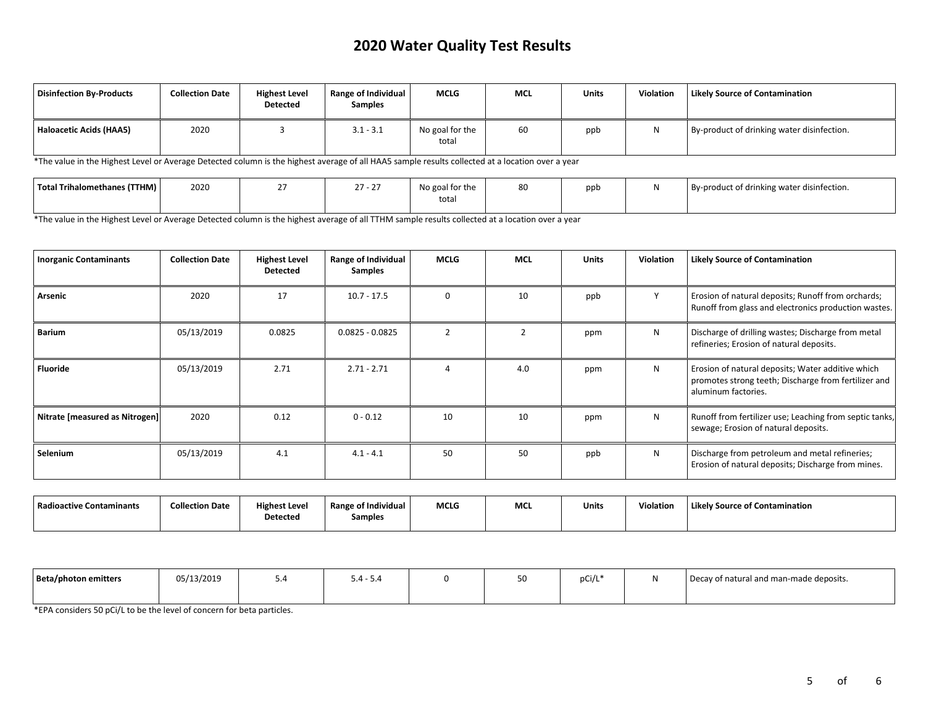# **2020 Water Quality Test Results**

| Disinfection By-Products | <b>Collection Date</b> | <b>Highest Level</b><br><b>Detected</b> | <b>Range of Individual</b><br><b>Samples</b> | <b>MCLG</b>              | <b>MCL</b> | Units | <b>Violation</b> | <b>Likely Source of Contamination</b>      |
|--------------------------|------------------------|-----------------------------------------|----------------------------------------------|--------------------------|------------|-------|------------------|--------------------------------------------|
| Haloacetic Acids (HAA5)  | 2020                   |                                         | $3.1 - 3.1$                                  | No goal for the<br>total | 60         | ppb   | Ν                | By-product of drinking water disinfection. |

\*The value in the Highest Level or Average Detected column is the highest average of all HAA5 sample results collected at a location over a year

| Total Trihalomethanes (TTHM) | 2020 | 27.27 | No goal for the | 80 | ppb | By-product of drinking water disinfection. |
|------------------------------|------|-------|-----------------|----|-----|--------------------------------------------|
|                              |      |       | total           |    |     |                                            |

\*The value in the Highest Level or Average Detected column is the highest average of all TTHM sample results collected at a location over a year

| <b>Inorganic Contaminants</b>  | <b>Collection Date</b> | <b>Highest Level</b><br><b>Detected</b> | Range of Individual<br>Samples | MCLG     | <b>MCL</b> | <b>Units</b> | <b>Violation</b> | <b>Likely Source of Contamination</b>                                                                                            |
|--------------------------------|------------------------|-----------------------------------------|--------------------------------|----------|------------|--------------|------------------|----------------------------------------------------------------------------------------------------------------------------------|
| Arsenic                        | 2020                   | 17                                      | $10.7 - 17.5$                  | $\Omega$ | 10         | ppb          | $\mathbf{v}$     | Erosion of natural deposits; Runoff from orchards;<br>Runoff from glass and electronics production wastes.                       |
| <b>Barium</b>                  | 05/13/2019             | 0.0825                                  | $0.0825 - 0.0825$              |          |            | ppm          | N                | Discharge of drilling wastes; Discharge from metal<br>refineries; Erosion of natural deposits.                                   |
| <b>Fluoride</b>                | 05/13/2019             | 2.71                                    | $2.71 - 2.71$                  |          | 4.0        | ppm          | N                | Erosion of natural deposits; Water additive which<br>promotes strong teeth; Discharge from fertilizer and<br>aluminum factories. |
| Nitrate [measured as Nitrogen] | 2020                   | 0.12                                    | $0 - 0.12$                     | 10       | 10         | ppm          | N                | Runoff from fertilizer use; Leaching from septic tanks,<br>sewage; Erosion of natural deposits.                                  |
| Selenium                       | 05/13/2019             | 4.1                                     | $4.1 - 4.1$                    | 50       | 50         | ppb          | N                | Discharge from petroleum and metal refineries;<br>Erosion of natural deposits; Discharge from mines.                             |

| Radioactive Contaminants | <b>Collection Date</b> | <b>Highest Level</b> | <b>Range of Individual</b> | <b>MCLG</b> | <b>MC</b> | <b>Units</b> | Violation | Likely Source of Contamination |
|--------------------------|------------------------|----------------------|----------------------------|-------------|-----------|--------------|-----------|--------------------------------|
|                          |                        | <b>Detected</b>      | Samples                    |             |           |              |           |                                |

| Beta/photon emitters | 05/13/2019 | -∽ | $5.4 - 5.4$ | <u>JU</u> | pCi/L' | Decay of natural and man-made deposits. |
|----------------------|------------|----|-------------|-----------|--------|-----------------------------------------|
|                      |            |    |             |           |        |                                         |

\*EPA considers 50 pCi/L to be the level of concern for beta particles.